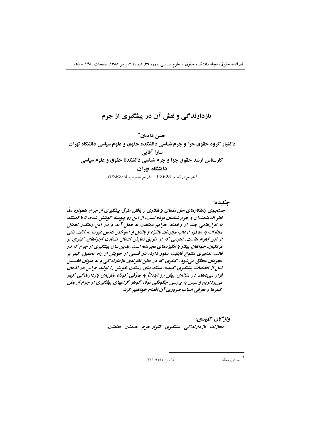# بازدارندگی و نقش آن در پیشگیری از جرم

حسن دادبان\* دانشیار گروه حقوق جزا و جرم شناسی دانشکده حقوق و علوم سیاسی دانشگاه تهران سارا آقایی کارشناس ارشد حقوق جزا و جرم شناسی دانشکدهٔ حقوق و علوم سیاسی دانشگاه تهران (تاريخ دريافت: ١٣٨٧/۶/٢ - تاريخ تصويب: ١٣٨٧/٨/١٥)

#### چکیده:

جستجوی راهکارهای حل متمای بزهکاری و یافتن طرق پیشگیری از جرم، همواره مدِّ نظر اندیشمندان و جرم شناسان بوده است، از این رو پیوسته کوشش شده، تا با تمسّک به ابزارهایی چند از رخداد جرایم ممانعت به عمل آید و در این رهگذر اعمال مجازات به منظور ارعاب مجرمان بالقوّه و بالفعل و آموختن درس عبرت به آنان، یکی از این اهرم هاست، اهرمی که از طریق نمایش اعمال ضمانت اجراهای کیفری بر مرتکبان، خواهان پیکار با انگیزههای مجرمانه است. بدین سان پیشگیری از جرم که در قالب تدابیری متنوع قابلیّت تبلّور دارد، در قسمی از خویش از راه تحمیل کیفر بر مجرمان محقّق میشود، کیفری که در بطن نظریّهی بازدارندگی و به عنوان نخستین نسل از اقدامات پیشگیری کننده، سنگ بنای رسالت خویش را تولید هراس در اذهان قرار میدهد. در مقالهی پیش رو ابتدائاً به معرّفی کوتاه نظریّهی بازدارندگی کیفر می پردازیم و سپس به بررسی چگونگی تولّد گوهر گرانبهای پیشگیری از جرم از بطن سيفرها و معرّفي اسباب ضروري آن اقدام خواهيم کرد.

> واژىخان سىلىدى: مجازات- بازدارندگی - پیشگیری- تکرار جرم- حتمیّت- قطعیّت.

> > فاكس: ٩٥٩٥٩٤٠٦٦٤

مسئول مقاله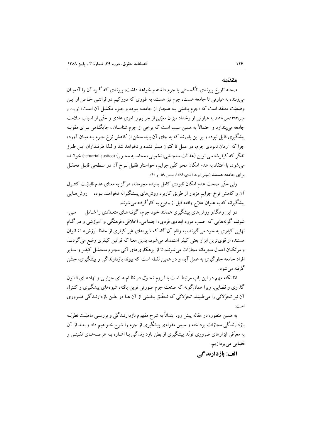#### مقدّمه

صحنه تاریخ پیوندی ناگسستنی با جرم داشته و خواهد داشت، پیوندی که گره آن را آدمیـان میزنند، به عبارتی تا جامعه هست، جرم نیز هست، به طوری که دورکیم در قرائتـی خـاص از ایـن وضعیّت معتقد است که «جرم بخشی بـه هنجـار از جامعـه بـوده و جـزء مکمّـل آن اسـت» (وايـت و هینز،۱۳۸۳،ص ۱۴۸). به عبارتی او رخداد میزان معیّنی از جرایم را امری عادی و حتّی از اسیاب سلامت جامعه مي پندارد و احتمالاً به همين سبب است كه برخي از جرم شناسـان ، جايگــاهي بـراي مقولـه پیشگیری قایل نبوده و بر این باورند که به جای آن باید سخن از کاهش نرخ جـرم بـه میـان آورد، چرا که آرمان نابودی جرم، در عمل تا کنون مبسّر نشده و نخواهد شد و لـذا طرفـداران ایـن طـرز تفکّر که کیفرشناسی نوین (عدالت سنجشی،تخمینی، محاسبه محـور) (actuarial justice) خوانـده می شود، با اعتقاد به عدم امکان محو کلّی جرایم، خواستار تقلیل نـرخ آن در سـطحی قابـل تحمّـل بر ای جامعه هستند (نجفی ابرند آبادی،۱۳۸۶، صص ۵۹ و ۶۰).

ولی حتّی صحت عدم امکان نابودی کامل پدیده مجرمانه، هرگز به معنای عدم قابلیّت کنتـرل آن و کاهش نرخ جرایم مزبور از طریق کاربرد روشهای پیشگیرانه نخواهـد بـود، روشهـایی پیشگیرانه که به عنوان علاج واقعه قبل از وقوع به کارگرفته می شوند.

در این رهگذر روش های پیشگیری همانند خود جرم، گونـههـای متعـدّدی را شـامل  $-$ مے  $-$ شوند، گونههایی که حسب مورد ابعادی فردی، اجتماعی، اخلاقی، فرهنگی و آموزشی و در گـام نهایی کیفری به خود می گیرند، به واقع آن گاه که شیوههای غیر کیفری از حفظ ارزشها نـاتوان هستند، از قویترین ابزار یعنی کیفر استمداد میشود، بدین معنا که قوانین کیفری وضع می گردنـد و مرتکبان اعمال مجرمانه مجازات می شوند، تا از یز هکاریهای آتی مجبرم متحمّل کیفیر و سبایر افراد جامعه جلوگیری به عمل آید و در همین نقطه است که پیوند بازدارندگی و پیشگیری، جشن گرفته مي شو د.

امّا نکته مهم در این باب مرتبط است با لـزوم تحـوّل در نظـام هـای جزایـی و نهادهـای قـانون گذاری و قضایی، زیرا همانگونه که صنعت جرم صورتی نوین یافته، شیوههای پیشگیری و کنترل آن نیز تحوّلاتی را می طلبند، تحوّلاتی که تحقّق بخشی از آن هـا در بطـن بازدارنـدگی ضـروری است.

به همین منظور، در مقاله پیش رو، ابتدائاً به شرح مفهوم بازدارنـدگی و بررسـی ماهیّـت نظریّـه بازدارندگی مجازات پرداخته و سپس مقولهی پیشگیری از جرم را شرح خـواهیم داد و بعــد از آن به معرِّفی ابزارهای ضروری تولُّد پیشگیری از بطن بازدارندگی بـا اشـاره بـه عرصـههـای تقنینـی و قضايي ميپردازيم.

الف: يازدارندگي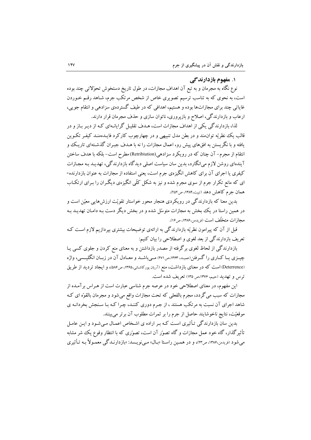### ۱. مفهوم بازدارندگی

نوع نگاه به مجرمان و به تبع آن اهداف مجازات، در طول تاریخ دستخوش تحوّلاتی چند بوده است، به نحوی که به تناسب ترسیم تصویری خاص از شخص مرتکب جرم، شـاهد رقـم خـوردن غایاتی چند برای مجازاتها بوده و هستیم، اهدافی که در طیف گستردهی سزادهی و انتقام جویی، ارعاب و بازدارندگی، اصلاح و بازپروری، ناتوان سازی و حذف مجرمان قرار دارند.

لذا، بازدارندگی یکی از اهداف مجازات است، هـدف تقلیـل گرایانـهای کـه از دیـر بـاز و در قالب يک نظريّه توانّهند و در بطن مدل تنبيهي و در چهارچوب کارکرد فايـدهمنـد کيفـر تکـوين یافته و با نگریستن به افقهای پیش رو، اعمال مجازات را نه با هـدف جبـران گذشـتهای تاریـک و انتقام از مجرم– آن چنان که در رویکرد سزادهی(Retribiution) مطرح است– بلکه با هدف ساختن آیندهای روشن لازم می|نگارد، بدین سان سیاست اصلی دیدگاه بازدارندگی، تهدیـد بـه مجـازات کیفری یا اجرای آن برای کاهش انگیزهی جرم است، یعنی استفاده از مجازات به عنوان بازدارنده-ای که مانع تکرار جرم از سوی مجرم شده و نیز به شکل کلّی انگیزهی دیگـران را بـرای ارتکـاب همان جرم كاهش دهد (تبيت،١٣٨۴، ص٢٥٢).

بدین معنا که بازدارندگی در رویکردی هنجار محور خواستار تقویّت ارزش۵ایی معیّن است و در همین راستا در یک بخش به مجازات متوسّل شده و در بخش دیگر دست بـه دامـان تهدیــد بـه مجازات متخلّف است (فريدمن،۱۳۸۶، ص۱۶).

قبل از آن که پیرامون نظریّه بازدارندگی به ارائهی توضیحات بیشتری بپردازیم لازم است کـه تعریف بازدارندگی از بعد لغوی و اصطلاحی را بیان کنیم:

بازدارندگی از لحاظ لغوی برگرفته از مصدر بازداشتن و به معنای منع کردن و جلوی کسی یـا چیــزی یــا کــاری را گــرفتن(عمیـد، ۱۳۶۳،ص۲۷۱) مــی،باشــد و معــادل آن در زبــان انگلیــسی، واژه (Deterrence) است که در معنای بازداشت، منع (آریان پورکاشانی،۱۳۶۵، ص۵۸۶)، و ایجاد تردید از طریق ترس و تهدید (حیبم، ۱۳۷۶،ص ۱۳۵) تعریف شده است.

این مفهوم، در معنای اصطلاحی خود در عرصه جرم شناسی عبارت است از هـراس برآمـده از مجازات که سبب می گردد، مجرم بالفعلی که تحت مجازات واقع میشود و مجرمان بالقوّه ای کـه شاهد اجرای آن نسبت به مرتکب هستند ، از جـرم دوری کننـد، چـرا کـه بـا سـنجش بخردانـه ی موقعیّت، نتایج ناخوشایند حاصل از جرم را بر ثمرات مطلوب آن برتر می بینند.

<sub>۔</sub><br>بدین سان بازدارندگی تـأثیری اسـت کـه بـر اراده ی اشـخاص اعمـال مـی شـود و ایـن عامـل تأثیر گذار، گاه خود عمل مجازات و گاه تصوّر آن است، تصوّری که با انتظار وقوع یک شر مشابه می شود (فریدمن،۱۳۸۶، ص۲۳)، و در هممین راستا «بـال» مـی نویـسد: «بازدارنـدگی معمـولاً بـه تـأثیری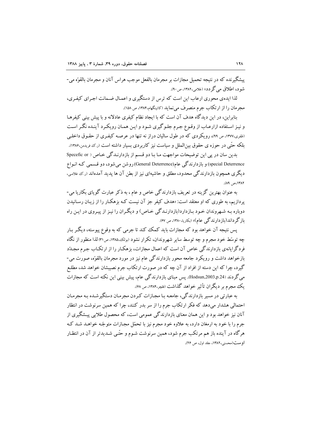پیشگیرنده که در نتیجه تحمیل مجازات بر مجرمان بالفعل موجب هراس آنان و مجرمان بالقوّه می-شو د، اطلاق مي گر دد» (غلامي،١٣٨٢، ص٩٠).

لذا ایدهی محوری ارعاب این است که ترس از دستگیری و اعمـال ضـمانت اجـرای کیفـری، مجر مان را از ارتکاب جرم منصرف می نماید (کاتینگهام،۱۳۸۴، ص ۱۵۸).

بنابراین، در این دیدگاه هدف آن است که با ایجاد نظام کیفری عادلانه و با پیش بینی کیفرهـا و نیز استفاده ازارعـاب از وقـوع جـرم جلـوگیری شـود و ایـن همـان رویکـرد آینـده نگـر اسـت (ظفری،۱۳۷۷، ص ۹۹)، رو یکردی که در طول سالیان دراز نه تنها در عرصـه کیفـری از حقـوق داخلـی بلکه حتّی در حوزه ی حقوق بین|لملل و سیاست نیز کاربردی بسیار داشته است (رک فریدمن،۱۳۸۶). بدین سان در پی این توضیحات مواجهت مـا بـا دو قـسم از بازدارنـدگی خـاص ( Specefic or

special Deterrence) و بازدارندگی عام(General Deterrence)روشن می شود، دو قسمی کـه انـواع دیگری همچون بازدارندگی محدود، مطلق و حاشیهای نیز از بطن آن ها یدید آمدهاند (رک غلامی، ١٣٨٢، ص ٨٩.

به عنوان بهترین گزینه در تعریف بازدارندگی خاص و عام ، به ذکر عبارت گویای بکاریا می-یردازیم، به طوری که او معتقد است: «هدف کیفر جز آن نیست کـه بزهکـار را از زیـان رسـانیدن دوباره بـه شـهروندان خـود بـازدارد(بازدارنـدگی خـاص) و دیگـران را نیـز از پیـروی در ایـن راه باز گر داند(باز دار ندگی عام)» (بکاریا، ۱۳۸۰، ص ۶۷).

يس نتيجه آن خواهد بود كه مجازات بايد كمك كند تا جرمي كه به وقوع پيوسته، ديگـر بـار چه توسّط خود مجرم و چه توسط سایر شهروندان، تکرار نشود (بولک،۱۳۸۵، ص۳۱) لذا منظور از نگاه فر دگر ایانهی بازدارندگی خاص آن است که اعمال مجازات، بزهکـار را از ارتکـاب جـرم مجـلدّد بازخواهد داشت و رویکرد جامعه محور بازدارندگی عام نیز در مورد مجرمان بالقوّه، صورت می-گیرد، چرا که این دسته از افراد از آن چه که در صورت ارتکاب جرم نصیبشان خواهد شد، مطلـع می گردند (203,p.24).Hodsun,2003,p پس مبنای بازدارندگی عام، پیش بینی این نکته است که مجازات بک مجرم بر دیگران تأثیر خواهد گذاشت (فلچر،۱۳۸۴، ص ۶۸).

به عبارتی در مسیر بازدارندگی، جامعـه بـا مجـازات کـردن مجرمـان دستگیرشـده بـه مجرمـان احتمالی هشدار میدهد که فکر ارتکاب جرم را از سر بدر کنند، چرا که همین سرنوشت در انتظار آنان نیز خواهد بود و این همان معنای بازدارندگی عمومی است، که محصول طلایی پیشگیری از جرم را با خود به ارمغان دارد، به علاوه خود مجرم نیز با تحمّل مجـازات متوجّـه خواهـد شـد کـه هرگاه در آینده باز هم مرتکب جرم شود، همین سرنوشت شـوم و حتّــی شــدیدتر از آن در انتظـار او ست(محسنی، ۱۳۸۲، جلد اول، ص ۲۶).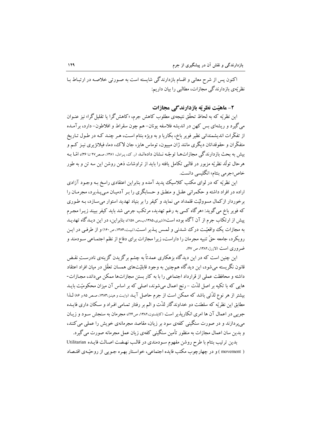اکنون پس از شرح معانی و اقسام بازدارندگی شایسته است به صـورتی خلاصـه در ارتبـاط بـا نظریّهی بازدارندگی مجازات، مطالبی را بیان داریم:

### ۲- ماهتت نظر ته بازدارندگی مجازات

این نظریّه که به لحاظ تحقّق نتیجهی مطلوب کاهش جرم، «کاهشگرا یا تقلیل گرا» نیز عنـوان می گیرد و ریشهای بس کهن در اندیشه فلاسفه یونان- هم چون سقراط و افلاطون– دارد، برآمـده از تفکّرات اندیشمندانی نظیر فویر باخ، بکاریا و به ویژه بنتام است، هـر چنـد کـه در طـول تـاریخ متفکّران و حقوقدانان دیگری مانند ژان مبییون، توماس هابز، جان لاک، دما، فیلانژیری نیـز کـم و بیش به بحث بازدارندگی مجازاتهـا توجّـه نـشان دادهانـد (ر.که، پـرادل، ۱۳۸۱، صص۲۷ تـا ۳۶)، امّـا بـه هرحال تولَّد نظريّه مزبور در قالبي تكامل يافته را بايد از تراوشات ذهن روشن اين سه تن و به طور خاص«جرمي بنتام» انگليسي دانست.

این نظریّه که در لوای مکتب کلاسیک پدید آمده و بنابراین اعتقادی راسخ بـه وجـود آزادی اراده در افراد داشته و حکمرانی عقـل و منطـق و حـسابگری را بـر آدمیـان مـی پــذیرد، مجرمـان را برخوردار ازکمال مسوولیّت قلمداد می نماید و کیفر را بر بنیاد تهدید استوار میسازد، بـه طـوری که فویر باخ می گوید: «هرگاه کسی به رغم تهدید، مرتکب جرمی شد باید کیفر ببیند زیـرا مجـرم ییش از ارتکاب جرم از آن آگاه بوده است»(شیری،۱۳۸۵،ب،ص ۱۵۸)، بنابراین، در این دیـدگاه تهدیـد به مجازات یک واقعیّت درک شدنی و لمس پـذیر اسـت.(تبیت،۱۳۸۴، ص۱۶۰) و از طرفـی در ایـن رويكر د، جامعه حقّ تنبيه مجرمان را داراست، زيرا مجازات براي دفاع از نظم اجتمـاعي سـودمند و ضروری است (لازرز،۱۳۸۲، ص۱۴۷).

این چنین است که در این دیدگاه بزهکاری عمدتاً به چشم برگزیدن گزینهی نادرسـتِ نقـض قانون نگر پسته می شود، این دیدگاه هم چنین به وجود قابلیّتهای همسان تعقّل در میان افراد اعتقاد داشته و محافظت عملی از قرارداد اجتماعی را با به کار بستن مجازاتها ممکن می داند، مجـازات-هایی که با تکیه بر اصل لذّت – رنج اعمال می شوند، اصلی که بر اساس آن میزان محکومیّت بایـد بیشتر از هر نوع لذّتی باشد که ممکن است از جرم حاصل آیـد (وایـت و هینـز،۱۳۸۳، صـص ۸۵ و ۵۶ لـذا مطابق این نظریّه که سلطنت دو خداوندگار لذّت و الم بر رفتار تمـامی افـراد و سـکان داری فایـده جوبے ٍ در اعمال آن ها امری انکاریذیر است (کاپلسون،۱۳۸۲،ص۲۴)، مجرمان به سنجش سـود و زبـان می یردازند و در صورت سنگینی کفهی سود بر زبان، مقاصد مجرمانهی خویش را عملی می کنند، و بدین سان اعمال مجازات به منظور تأمین سنگینی کفهی زبان عمل مجرمانه صورت می گیرد.

بدین ترتیب بنتام با طرح روشن مفهوم سـودمندی در قالـب نهـضت اصـالت فایـده Utilitarian ( movement ) و در چهارچوب مکتب فایده اجتماعی، خواستار بهره جـویی از روحبّـهی اقتـصاد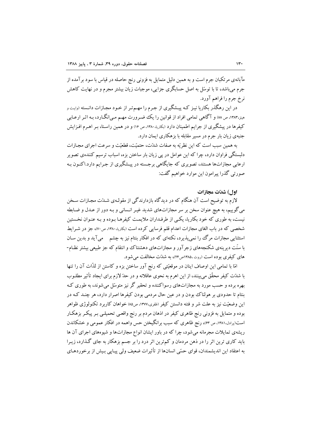مآبانهی مرتکبان جرم است و به همین دلیل متمایل به فزونی رنج حاصله در قیاس با سود برآمده از جرم می باشد، تا با توسّل به اصل حسابگری جزایی، موجبات زیان بیشتر مجرم و در نهایت کاهش نرخ جرم را فراهم آورد.

در این رهگذر بکاریا نیـز کـه پیـشگیری از جـرم را مهـمتـر از خـود مجـازات دانـسته (وایـت و مینز،۱۳۸۳، ص ۸۸) و آگاهی تمامی افراد از قوانین را یک ضرورت مهـم مـی|نگــارد، بـه اثـر ارعــابی کیفرها در پیشگیری از جرایم اطمینان دارد (بکاریا،۱۳۸۰،ص۱۶) و در همین راستا، بـر اهـرم افـزایش جنبهی زیان بار جرم در مسیر مقابله با بزهکاری ایمان دارد.

به همبن سب است كه اين نظريّه به صفات شدّت، حتميّت، قطعيّت و سرعت اجراي مجـازات دلبستگی فراوان دارد، چرا که این عوامل در پی زیان بار ساختن بزه، اسباب ترسیم کنندهی تصویر ارعابی مجازاتها هستند، تصویری که جایگاهی برجسته در پیشگیری از جرایم دارد.اکنـون بـه صورتي گذرا پيرامون اين موارد خواهيم گفت:

#### 19 .) شدّت محازات

لازم به توضیح است آن هنگام که در دیدگاه بازدارندگی از مقولـهی شــدّت مجـازات ســخن میگوییم، به هیچ عنوان سخن بر سر مجازاتهای شدید غیـر انـسانی و بـه دور از عـدل و ضـابطه نیست، به طوری که خود بکاریا، یکسی از طرفـداران ملایمـت کیفرهـا بـوده و بـه عنـوان نخـستین شخصی که در باب الغای مجازات اعدام قلم فرسایی کرده است (بکاریا، ۱۳۸۰، ص۷۰)، جز در شـرایط استثنایی مجازات مرگ را نمی پذیرد، نکتهای که در افکار بنتام نیز به چشم هی آید و بدین سان با سنّت دیرینهی شکنجههای زجرآور و مجازاتهای دهشتناک وو انتقام که جز طبیعی بیشتر نظـام-های کیفری بوده است (روت،۱۳۸۵ص۲۴)، به شدت مخالفت می شود.

امًا با تمامی این اوصاف اینان در موقعیّتی که رنج آور ساختن بزه و کاستن از لذّات آن را تنها با شدّت کیفر محقّق می بینند، از این اهرم به نحوی عاقلانه و در حدّ لازم برای ایجاد تأثیر مطلـوب بهره برده و حسب مورد به مجازاتهای رسواکننده و تحقیر گر نیز متوسّل می شوند، به طوری کـه بنتام تا حدودی بر هولناک بودن و در عین حال مردمی بودن کیفرها اصرار دارد، هر چنـد کـه در این وضعیّت نیز به علت شر و فتنه دانستن کیفر (ظفری،۱۳۷۷، ص۵۵) خواهان کاربرد تکنولوژی ظواهر بوده و متمایل به فزونی رنج ظاهری کیفر در اذهان مردم بر رنج واقعـی تحمیلـی بـر پیکـر بزهکـار است(پرادل،۱۳۸۱، ص ۶۳)، رنج ظاهری که سبب برانگیختن حس واهمه در افکار عمومی و خشکاندن ریشهی تمایلات مجرمانه میشود، چرا که در باور ایشان انواع مجازاتها و شیوههای اجرای آن ها باید کاری ترین اثر را در ذهن مردمان و کم ترین اثر درد را بر جسم بزهکار به جای گذارد، زیـرا به اعتقاد این اندیشمندان، قوای حسّی انسانها از تأثیرات ضعیف ولی پیـایی بـیش از برخوردهـای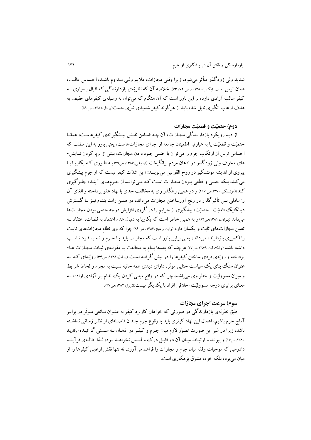شدید ولی زودگذر متأثر می شود، زیرا وقتی مجازات، ملایم ولبی مـداوم باشـد، احـساس غالـب، همان ترس است (پکاریا، ۱۳۸۰، صص ۷۲ و۷۳). خلاصه آن که نظر تهی باز دارندگی که اقبال بـساری بـه کیفر سالب آزادی دارد، بر این باور است که آن هنگام که می توان به وسیلهی کیفرهای خفیف به هدف ارعاب انگیزی ناپل شد، باید از هر گونه کیفر شدیدی تبرّی جست(پرادل،۱۳۸۱، ص ۵۹).

## دوم) حتمتت و قطعتت محازات

از دید رویکرد بازدارنـدگی مجـازات، آن چـه ضـامن نقـش پیـشگیرانهی کیفرهاسـت، همانـا حتمیّت و قطعیّت یا به عبارتی اطمینان جامعه از اجرای مجازاتهاست، یعنی باور به این مطلب که احساس ترس از ارتکاب جرم را می توان با حتمی جلوه دادن مجازات، بیش از بریا کردن نمایش-های مخوف ولی زودگذر در اذهان مردم برانگیخت ‹اردبیلی،۱۳۸۶، ص۳۹) بـه طـوری کـه بکاریـا بـا پیروی از اندیشه مونتسکیو در روح القوانین میiویسد: «این شدّت کیفر نیست که از جرم پیشگیری می کند، بلکه حتمی و قطعی بـودن مجـازات اسـت کـه مـی توانـد از جـرمهـای آینـده جلـوگیری کند»(مونتسکیو،۱۳۷۰،ص۱۹۶) و در همین رهگذر وی به مخالفت جدی با نهاد عفو پرداخته و الغای آن را عاملی بس تأثیر گذار در رنج آورساختن مجازات می،داند، در همین راستا بنتـام نیـز بـا گــسترش دیالکتیک «امنیّت-حتمیّت» پیشگیری از جرایم را در گروی افزایش درجه حتمی بودن مجازاتها میداند (پرادل، ۱۳۸۱،ص۶۲) و به همین خاطر است که بکاریا به دنبال عدم اعتماد به قضات، اعتقاد بـه تعیین مجازاتهای ثابت و یکسان دارد (وایت و هینز،۱۳۸۳، ص ۸۹) چرا که وی نظام مجازاتهای ثابت را اکسیری بازدارنده میداند، یعنی براین باور است که مجازات باید بـا جـرم و نـه بـا فـرد تناسـب داشته باشد (والک لیت،۱۳۸۶،ص۳۷) هرچند که بعدها بنتام به مخالفت بـا مقولـهى ثبـات مجـازات هـا-یر داخته و رویّهی فردی ساختن کیفرها را در پیش گرفتـه اسـت (پـرادل،۱۳۸۱، ص۶۴) رویّـهای کـه بـه عنوان سنگ بنای یک سیاست جنایی موثّر، دارای دیدی همه جانبه نسبت به مجرم و لحاظ شرایط و میزان مسوولیّت و خطر وی میباشد، چرا که در واقع مبتنی کردن یک نظام بـر آزادی اراده، بـه معنای برابری درجه مسوولیّت اخلاقی افراد با یکدیگر نیست(لازرژ، ۱۳۸۲،ص۴۷).

## سوم) سرعت اجراي مجازات

طبق نظريّهي بازدارندگي در صورتي كه خواهان كاربرد كيفر به عنـوان مـانعي مـوتَّر در برابـر آماج جرم باشیم، اعمال این نهاد کیفری باید با وقوع جرم چندان فاصـلهای از نظـر زمـانی نداشـته باشد، زیرا در غیر این صورت تصوّر لازم میان جـرم و کیفـر در اذهـان بـه سـستی گرائیـده (بکاریـا، ۱۳۸۰ه. ۱۷) و پیونـد و ارتبـاط میـان آن دو قابـل درك و لمـس نخواهـد بـود، لـذا اطالـهى فرآينـد دادرسی که موجبات وقفه میان جرم و مجازات را فراهم میآورد، نه تنها نقش ارعابی کیفرها را از مبان مي پر د، بلكه خو د، مشوّق بز هكار ي است.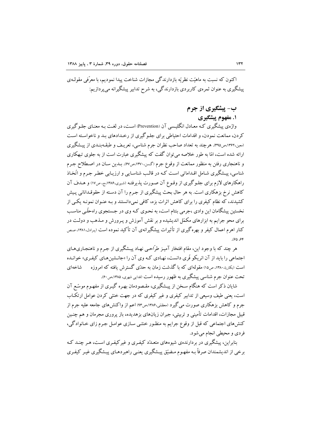اکنون که نسبت به ماهیّت نظریّه بازدارندگی مجازات شناخت پیدا نمودیم، با معرّفی مقولـهی پیشگیری به عنوان ثمرهی کاربردی بازدارندگی، به شرح تدابیر پیشگیرانه می پردازیم:

ب- پیشگیری از جرم

۱. مفهوم پیشگیری

واژهي پیشگېري کـه معـادل انگلیـسي آن (Prevention) اسـت، در لغـت پـه معنـاي جلـو گېري کردن، ممانعت نمودن، و اقدامات احتیاطی برای جلـو گیری از رخـدادهای بـد و ناخواسـته اسـت (معین،۱۳۶۲،ص۳۹۵). هرچند به تعداد صاحب نظران جرم شناسی، تعریـف و طبقـهبنـدی از پیــشگیری ارائه شده است، امّا به طور خلاصه می توان گفت که پیشگیری عبارت است از به جلوی تبهکاری و ناهنجاری رفتن به منظور ممانعت از وقوع جرم (گسن،۱۳۷۰،ص۶۷). بـدین سـان در اصـطلاح جـرم .<br>شناسی، پیـشگیری شـامل اقـداماتی اسـت کـه در قالـب شناسـایی و ارزیـابی خطـر جـرم و اتّخـاذ راهکارهای لازم برای جلـوگیری از وقـوع آن صـورت پذیرفتـه (شـیری،۱۳۸۶،ج، ص۱۷) و هـدف آن کاهش نرخ بزهکاری است. به هر حال بحث پیشگیری از جـرم را آن دسـته از حقوقـدانانی پـیش کشیدند، که نظام کیفری را برای کاهش اثرات بزه، کافی نمیدانستند و بـه عنـوان نمونـه یکـی از نخستین پیشگامان این وادی ،جرمی بنتام است، به نحـوی کـه وی در جـستجوی راهحلّـی مناسـب برای محو جرایم به ابزارهای مکمّل اندیشیده و بر نقش آموزش و پـرورش و مـذهب و دولـت در کنار اهرم اعمال کیفر و بهرهگیری از تأثیرات پیشگیرانهی آن تأکید نموده است (پرادل،۱۳۸۱، صص ۶۴، ۶۵).

هر چند که با وجود این، مقام افتخار آمیز طرّاحبی نهـاد پیـشگیری از جـرم و ناهنجـاریهـای اجتماعی را باید از آن انریکو فّری دانست، نهـادی کـه وی آن را «جانـشینهـای کیفـری» خوانـده است (بکاریا،۱۳۸۰، ص۱۵) مقولهای که با گذشت زمان به حدّی گسترش یافته که امروزه شاخەاي تحت عنوان جرم شناسی پیشگیری به ظهور رسیده است (فدایی شهری، ۱۳۸۵،ص۶۰).

شابان ذکر است که هنگام سـخن از پیـشگیری، مقـصودمان بهـره گیـری از مفهـوم موسّـع آن است، یعنی طیف وسیعی از تدابیر کیفری و غیر کیفری که در جهت خنثی کردن عوامل ارتکـاب جرم و کاهش بزهکاری صورت می گیرد (معظمی،۱۳۸۶،ص۹۳) اعم از واکنشهای جامعه علیه جرم از قبیل مجازات، اقدامات تأمینی و تربیتی، جبران زیانهای بزهدیده، باز یروری مجرمان و هم چنـین کنشهای اجتماعی که قبل از وقوع جرایم به منظـور خنثـی سـازی عوامـل جـرم زای خـانوادگی، فردي و محيطي انجام مي شود.

بنابراین، پیشگیری در بر دارندهی شیوههای متعـدّد کیفـری و غیر کیفـری اسـت، هـر چنـد کـه برخی از اندیشمندان صرفاً بـه مفهـوم مـضیّق پیـشگیری یعنـی راهبردهـای پیـشگیری غیـر کیفـری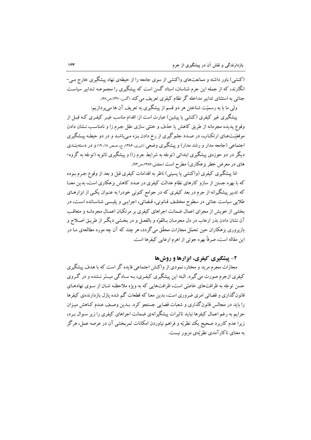(کنشی) باور داشته و ممانعتهای واکنشی از سوی جامعه را از حیطهی نهاد پیشگیری خارج مبی-انگارند، که از جمله این جرم شناسان، استاد گسن است که پیشگیری را مجموعـه تـداىبر سباسـت جنائی به استثنای تدابیر مداخله گر نظام کیفری تعریف می کند (گسن،۱۳۷۰،ص۶۸).

ولي ما با به رسميّت شناختن هر دو قسم از پيشگيري به تعريف آن ها مي يو دازيم:

پیشگیری غیر کیفری (کنشی یا پیشین) عبارت است از: اقدام مناسب غیبر کیفـری کـه قبـل از .<br>وقوع یدیده مجرمانه از طریق کاهش یا حذف و خنثی سازی علل جـرم زا و نامناسـب نــشان دادن موقعیّتهای ارتکـاب، در صـدد جلـو گیری از رخ دادن بـزه مـی باشـد و در دو حیطـه پیـشگیری اجتماعی (جامعه مدار و رشد مدار) و پیشگیری وضعی (شیری، ۱۳۸۶، ج، صص ۱۸، ۱۹) و در دستهبنــدی دیگر در دو حوزهی پیشگیری ابتدائی (توجّه به شرایط جرم زا) و پیشگیری ثانویه (توجّه به گروه-های در معرض خطر بزهکاری) مطرح است (معظمّی،۱۳۸۶،ص۹۳).

امّا پیشگیری کیفری (واکنشی یا پسینی) ناظر به اقدامات کیفری قبل و بعد از وقوع جـرم بـوده که با بهره جستن از سازو کارهای نظام عدالت کیفری در صدد کاهش بزهکاری است، بدین معنـا که تدبیر پیشگیرانه از جرم در بعد کیفری که در جوامع کنونی خودرا به عنـوان یکـی از ابزارهـای طلایی سیاست جنائی در سطوح مختلف قـانونی، قـضائی، اجرایـی و پلیـسی شناسـانده اسـت، در بخشی از خویش از مجرای اعمال ضمانت اجراهای کیفری بر مرتکبان اعمـال مجرمانـه و متعاقـب آن نشان دادن بذر ارعاب در دل مجرمـان بـالقوّه و بالفعـل و در بخـشي ديگـر از طريـق اصـلاح و بازپروری بزهکاران حین تحمّل مجازات محقّق میگردد، هر چند که آن چه مورد مطالعهی مـا در این مقاله است، صرفاً بهره جوئی از اهرم ارعابی کیفرها است.

### ۲- پیشگیری کیفری، ابزارها و روشها

مجازات مجرم مرید و مختار، نمودی از واکنش اجتماعی فایده گر است که با هدف پیشگیری کیفری ازجرم صورت میگیرد. البته این پیشگیری کیفـری، بـه سـادگی میـسّر نـشده و در گـروی حسن توجّه به ظرافتهای خاصّی است، ظرافتهایی که به ویژه ملاحظه شـان از سـوی نهادهـای ۔<br>قانون گذاری و قضائی امری ضروری است، بدین معنا که قطعات گم شده یازل بازدارنده ی کیفرها را باید در مجالس قانون گذاری و شعبات قضایی جستجو کرد. بـدین وصـف عـدم کـاهش میـزان جرایم به رغم اعمال کیفرها نباید تاثیرات پیشگیرانهی ضمانت اجراهای کیفری را زیر سـوال بـرد، زیرا عدم کاربرد صحیح یک نظریّه و فراهم نباوردن امکانات ثمریخشی آن در عرصه عمل، هرگز به معنای ناکار آمدی نظر تهی مزبور نیست.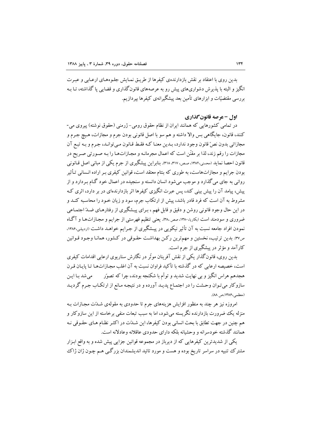بدین روی با اعتقاد بر نقش بازدارندهی کیفرها از طریـق نمـایش جلـوههـای ارعـابی و عبـرت انگیز و البته با پذیرش دشواریهای پیش رو به عرصههای قانونگذاری و قضایی یا گذاشته، تـا بـه بررسی مقتضیّات و ابزارهای تأمین بعد پیشگیرانهی کیفرها بیردازیم.

اول - عرصه قانون گذاري

در تمامی کشورهایی که همانند ایران از نظام حقوق رومی–ژرمنی (حقوق نوشته) پیروی می-کنند، قانون، جايگاهي بس والا داشته و هم سو با اصل قانوني بودن جرم و مجازات، هـيچ جـرم و مجازاتی بدون نصِّ قانون وجود ندارد، بـدین معنـا کـه فقـط قـانون مـیتوانـد، جـرم و بـه تبـع آن مجازات را رقم زند، لذا بر مقنّن است که اعمال مجرمانـه و مجـازاتـهـا را بـه صـورتي صـر يح در قانون احصا نماید (محسنی،۱۳۸۲، صص، ۳۱۷، ۳۱۸). بنابراین پیشگیری از جرم یکی از مبانی اصل قـانونی بودن جرایم و مجازاتهاست، به طوری که بنتام معتقد است، قوانین کیفری بـر اراده انـسانی تـأثیر رواني به جاي مي گذارد و موجب مي شود انسان دانسته و سنجيده در اعمال خود گـام بـردارد و از پیش، پیامد آن را پیش بینی کند، پس عبرت انگیزی کیفرها اثر بازدارندهای در بر دارد، اثری ک مشروط به آن است که فرد قادر باشد، پیش از ارتکاب جرم، سود و زیان خـود را محاسـبه کنـد و در این حال وجود قانونی روشن و دقیق و قابل فهم ، بـرای پیـشگیری از رفتارهـای ضــدّ اجتمـاعی ضروری و سودمند است (بکاریا،۱۳۸۰، صص۳۸۰). یعنی تنظیم فهرستی از جرایم و مجـازاتهـا و آگـاه نمودن افراد جامعه نسبت به آن تأثیر نیکویی در پیـشگیری از جـرایم خواهـد داشـت ‹‹ردبیلی،۱۳۸۶، ص٣٧). بدین ترتیب، نخستین و مهمترین رکـن بهداشـت حقـوقی در کـشور، همانـا وجـود قـوانین کارآمد و مؤثر در پیشگیری از جرم است.

بدین روی، قانون گذار یکی از نقش آفرینان موثّر در نگارش سناریوی ارعابی اقدامات کیفری است، خصیصه ارعابی که در گذشته با تأکید فراوان نسبت به آن اغلب مجـازاتهـا تـا پایـان قـرن هجدهم هراس انگیز و بی نهایت شدید و توأم با شکنجه بودند، چرا که تصوّر می شد بـا ایـن سازوکار میتوان وحشت را در اجتمـاع پدیـد آورده و در نتیجـه مـانع از ارتکـاب جـرم گردیـد (معظمی،۱۳۸۶،ص ۸۸).

امروزه نیز هر چند به منظور افزایش هزینههای جرم تا حدودی به مقولهی شـدّت مجـازات بـه منزله یک ضرورت بازدارنده نگریسته میشود، اما به سبب تبعات منفی برخاسته از این سازوکار و هم چنین در جهت تطابق با بحث انسانی بودن کیفرها، این شـلـّت در اکثـر نظـام هـای حقـوقی نـه همانند گذشته خودسرانه و وحشیانه بلکه دارای حدودی عاقلانه وعادلانه است.

یکم از شدیدترین کیفرهایی که از دیرباز در مجموعه قوانین جزایی پیش شده و به واقع ابـزار مشترک تنبیه در سراسر تاریخ بوده و هست و مورد تائید اندیشمندان بزرگی هـم چـون ژان ژاک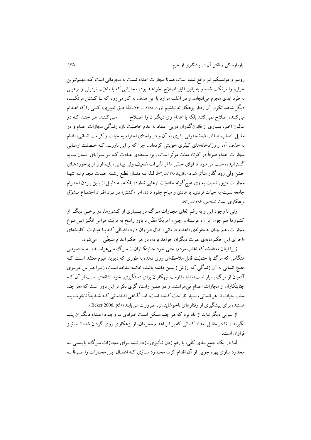روسو و مونتسکیو نیز واقع شده است، همانا مجازات اعدام نسبت به مجرمانی است کـه مهــمتـرین جرایم را مرتکب شده و به یقین قابل اصلاح نخواهند بود، مجازاتی که با ماهیّت ترذیلی و ترهیبی به طرد ابدی مجرم می|نجامد و در اغلب موارد با این هدف به کار میرود که بـا کـشتن مرتکـب، دیگر شاهد تکرار آن رفتار بزهکارانه نباشیم (روت،۱۳۸۵، ص۲۴)، لذا طبق تعبیری، کسی را که اعــدام می کنند، اصلاح نمی کنند بلکه با اعدام وی دیگران را اصلاح مسمی کننـد. هـر چنـد کـه در سالیان اخیر، بسیاری از قانونگذران درپی اعتقاد به عدم خاصیّت بازدارندگی مجازات اعدام و در مقابل انتساب صفات ضلَّا حقوقي بشرى به آن و در راستاى احترام به حيات و كرامت انسانى، اقدام به حذف آن از زرّادخانههای کیفری خویش کردهاند، چرا که بر این باورنـد کـه خـصلت ارعـابی مجازات اعدام صرفاً در کوتاه مدّت موثّر است، زیرا سـلطهی عـادت کـه بـر سـراپای انـسان سـایه گسترانیده، سبب می شود تا قوای حسّی ما از تأثیرات ضعیف ولی پیایی، پاییدارتر از برخوردهیای خشن ولی زود گذر متأثر شود (بکاریـا، ۱۳۸۰،ص۷۲)، لـذا بـه دنبـال قطـع رشـته حیـات مجـرم نـه تنهـا مجازات مزبور نسبت به وی هیچ گونه خاصیّت ارعابی ندارد، بلکـه بـه دلیـل از بـین بـردن احتـرام جامعه نسبت به حیات فردی، با عادی و مباح جلوه دادن امر «کشتن» در نـزد افـراد اجتمـاع مـشوّق بز هکاری است (صلاحی، ۱۳۸۶،ص۹۲).

ولمی با وجود این و به رغم الغای مجـازات مـرگ در بـسیاری از کـشورها، در برخـی دیگـر از کشورها هم چون ایران، عربستان، چین، آمریکا مقنّن با باور راسخ به مزیّت هراس انگیز ایــن نــوع مجازات، هم چنان به مقولهی «اعدام درمانی» اقبال فراوان دارد، اقبـالی کـه بـا عبـارت کلیـشهای «اجرای این حکم مایهی عبرت دیگران خواهد بود»، در هر حکم اعدام متجلّبی می شود.

زیرا اینان معتقدند که اغلب مردم، حتّی خود جنایتکـاران از مـرگ مـی هراسـند، بـه خـصوص هنگامی که مرگ با حتمیّت قابل ملاحظهای روی دهد، به طوری که دیوید هیوم معتقد است کـه «هیچ انسانی به آن زندگی که ارزش زیستن داشته باشد، خاتمه نـداده اسـت، زیـرا هـراس غریـزی آدمیان از مرگ بسیار است»، لذا مقاومت تبهکاران برای دستگیری، خود نشانهای است از آن کـه جنایتکاران از مجازات اعدام میهراسند، و در همین راستا، گری بکر بر این باور است که «هر چند سلب حیات از هر انسانی، بسیار ناراحت کننده است، امـا گــاهی اقــداماتی کـه شــدیداً ناخوشــایند هستند، برای پیشگیری از رفتارهای ناخوشایندتر، ضرورت می پابند» (Beker 2006, p5.)

از سویی دیگر نباید از یاد برد که هر چند ممکن است افـرادی بـا وجـود اعـدام دیگـران پنـد نگیرند ، امّا در مقابل تعداد کسانی که بر اثر اعدام مجرمان، از بزهکاری روی گردان شدهانـد، نیـز فراوان است.

لذا در یک جمع بندی کلّی، با رقم زدن تـأثیری بازدارنـده بـرای مجـازات مـرگ، بایـستی بـه محدود سازی بهره جویی از آن اقدام کرد، محـدود سـازی کـه اعمـال ایـن مجـازات را صـرفاً بـه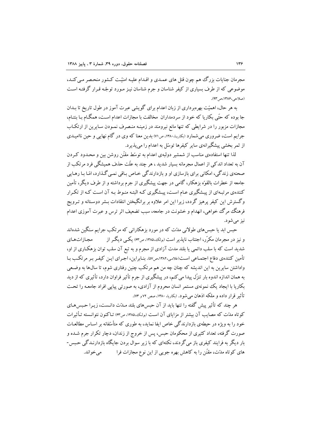مجرمان جنایات بزرگ هم چون قتل های عمـدی و اقـدام علیـه امنیّـت کـشور منحـصر مـی کنـد، موضوعی که از طرف بسیاری از کیفر شناسان و جرم شناسان نیـز مـورد توجّـه قـرار گرفتـه اسـت (صلاحہ،۱۳۸۶،ص۹۳).

به هر حال، اهمیّت بهرهبرداری از زبان اعدام برای گویشی عبرت آموز در طول تاریخ تا بـدان جا بوده که حتّی بکاریا که خود از سردمداران مخالفت با مجازات اعدام است، همگـام بـا بنتـام، مجازات مزبور را در شرایطی که تنها مانع نیرومند در زمینـه منـصرف نمـودن سـایرین از ارتکـاب جرایم است، ضروری می شمارد (بکاریا،۱۳۸۰،ص۷۱) بدین معنا که وی در گام نهایی و حین ناامیـدی از ثمر ىخشى پيشگيرانەي ساير كيفرها توسّل به اعدام را مى پذيرد.

لذا تنها استفادهی مناسب از شمشیر دولبهی اعدام به توسّط مقنّن روشن بین و محـدود کـردن آن به تعداد اندکی از اعمال مجرمانه بسیار شدید ، هر چند به علّت حذف همیشگی فرد مرتکب از صحنهي زندگي، امکاني براي بازسازي او و بازدارندگي خـاص بـاقي نمـي گـذارد، امّـا بـا رهـايي جامعه از خطرات بالقوّه بزهکار، گامی در جهت پیشگیری از جرم برداشته و از طرف دیگر، تأمین کنندهی مرتبهای از پیشگیری عبام است، پیشگیری کبه البته منبوط ببه آن است کبه از تکبرار وگسترش این کیفر پرهیز گردد، زیرا این امر علاوه بر برانگیختن انتقادات بـشر دوسـتانه و تـرویج فرهنگ مرگ خواهی، انهدام و خشونت در جامعه، سبب تضعیف اثر ترس و عبرت آموزی اعدام نیز مے شود.

حبس ابد یا حبس های طولانی مدّت که در مورد بزهکارانی که مرتکب جرایم سنگین شدهاند و نیز در مجرمان مکرّر، اجتناب ناپذیر است (بولک،۱۳۸۵، ص۶۳) یکسی دیگــر از محازاتهاى شدید است که با سلب دائمی یا بلند مدت آزادی از مجرم و به تبع آن سلب توان بزهکـاری از او، تأمین کنندهی دفاع اجتمـاعی اسـت(غلامـی،۱۳۸۲هـر۵۷). بنـابراین، اجـرای ایـن کیفـر بـر مرتکـب بـا واداشتن سایرین به این اندیشه که چنان چه من هم مرتکب چنین رفتاری شوم، تا سال۵ا به وضعی به همان اندازه اندوه بار تنزّل پیدا می کنم، در پیشگیری از جرم تأثیر فراوان دارد، تأثیری که از دید بکاریا با ایجاد یک نمونهی مستمر انسان محروم از آزادی، به صورتی پیاپی افراد جامعـه را تحـت تأثیر قرار داده و ملکه اذهان می شود. (بکاریا، ۱۳۸۰، صص ۷۲ و ۷۳).

هر چند که تأثیر پیش گفته را تنها باید از آن حبسهای بلند مـدّت دانـست، زیــرا حـبسهـای کوتاه مدّت که مصایب آن بیشتر از مزایای آن است (بولک،۱۳۸۵، ص۶۳) تـاکنون نتوانـسته تـأثیرات خود را به ویژه در حیطهی بازدارندگی خاص ایفا نماید، به طوری که متأسّفانه بر اسـاس مطالعـات صورت گرفته، تعداد کثیری از محکومان حبس، پس از خروج از زندان، دچار تکرار جرم شــده و بار دیگر به فرایند کیفری باز می گردند، نکتهای که با زیر سوال بردن جایگاه بازدارنـدگی حـبس-های کوتاه مدّت، مقنّن را به کاهش بهره جویبی از این نوع مجازات فرا مي خو اند.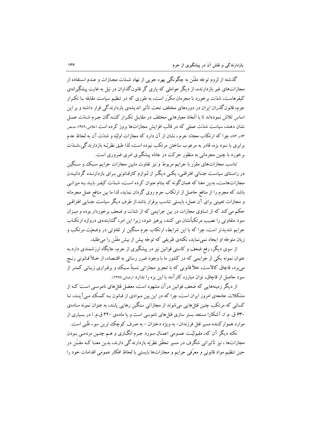گذشته از لزوم توجّه مقنّن به چگونگی بهره جویی از نهاد شـدّت مجـازات و عـدم اسـتفاده از مجازاتهای غیر بازدارنده، از دیگر عواملی که پاری گر قانون گذاران در نیل به غایت پیشگیرانهی کیفرهاست، شدّت برخورد با مجرمان مکرّر است، به طوری که در تنظیم سیاست مقابله بـا تکـرار جرم، قانونگذران ایران در دورههای مختلف تحت تأثیر اندیشهی بازدارندگی قرار داشته و بر این اساس تلاش نمودهاند تا با اتّخاذ معیارهایی مختلف در مقابـل تکـرار کننـدگان جـرم شـدّت عمـل نشان دهند، سیاست شدّت عملی که در قالب افزایش مجازاتها بروز کرده است (غلامی،۱۳۸۲، صص ۸۳ و ۸۴)، چرا که از تکاب مجدّد جرم ، نشان از آن دارد که مجازات اولیّه و شدّت آن به لحاظ عدم برابري با سود بزه، قادر به مرعوب ساختن مرتكب نبوده است، لذا طبق نظريّـه بازدارندگي،شــدّت برخورد با چنین مجرمانی به منظور حرکت در جادّه پیشگیری امری ضروری است.

تناسب مجازاتهای مقرّر با جرایم مربوط و نیز تفاوت مابین مجازات جرایم سبک و سنگین در راستای سیاست جنـائی افتراقـی، یکـی دیگـر از لـوازم کارقـانونی بـرای بازدارنـده گردانیـدن مجازاتهاست، بدین معنا که همانگونه که بنتام عنوان کرده است، شـدّت کیفـر بایـد بـه میزانـی باشد که مجرم را از منافع حاصل از ارتکاب جرم روی گردان نماید، لذا ما بین منافع عمل مجرمانه و مجازات تعیینی برای آن عمل، بایستی تناسب برقرار باشد.از طرف دیگر سیاست جنـایی افتراقـی حکم می کند که از تساوی مجازات در بین جرایمی که از شدّت و ضعف برخوردار بوده و میـزان سود متفاوتی را نصیب مرتکباًنشان می کنند، پرهیز شود، زیرا این امر، گشایندهی دروازه ارتکـاب جرايم شديدتر است، چرا كه با اين شرايط، ارتكاب جرم سنگين تر تفاوتي در وضعيّت مرتكب و زیان متوجّه او ایجاد نمیٖنماید، نکتهی ظریفی که توجّه بیش از بیش مقنّن را میطلبد.

از سوی دیگر، رفع ضعف و کاستی قوانین نیز در پیشگیری از جرم، جایگاه ارزشمندی دارد.به عنوان نمونه یکی از جرایمی که در کشور ما با وجود ضرر رسانی به اقتـصاد، از خـلأ قـانونی رنـج می برد، قاچاق کالاست، خلأ قانونی که با تجویز مجازاتی نسبتاً سبک و برقـراری زیـانی کمتـر از سود حاصل از قاچاق، توان مبارزه کارآمد با این بزه را ندارد (رضائی،۱۳۸۷).

از دیگر زمینههایی که ضعف قوانین درآن مشهود است، معضل قتلهای ناموسبی است کـه از مشکلات جامعهی امروز ایران است، چرا که در این بین مـوادی از قـانون بـه کمـک مـی آینـد، تـا کسانی که مرتکب چنین قتلهایی میشوند از مجازاتی سنگین رهایی یابند، به عنوان نمونه مـادهی ۶۳۰ ق. م. ا، آشکارا مستعد بستر سازی قتلهای ناموسی است و یا مادهی ۲۲۰ ق.م. ا در بسیاری از موارد هموارکننده مسبر قتل فرزندان- به ویژه دختران – به صرف کوچک ترین سوء ظُنی است.

نکته دیگر آن که، مقبولیّت عمـومی اعمـال مـورد جـرم انگــاری و هــم چنــین مردمــی بـودن مجازاتها ، نیز تأثیراتی شگرف در مسیر تحقّق نظریّه بازدارندگی دارند، بدین معنـا کـه مقـنّن در حين تنظيم مواد قانوني و معرّفي جرايم و مجازاتها بايستي با لحاظ افكار عمومي اقدامات خود را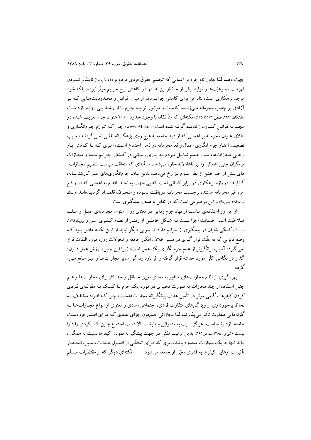جهت دهد، لذا نهادن نام جرم بر اعمالي كه تجسّم حقوق فردي مردم بوده، با پایان ناپـذیر نمـودن فهرست ممنوعیّتها و تولید بیش از حدّ قوانین نه تنها در کاهش نرخ جرایم موثّر نبوده، بلکه خود موجد بزهکاری است، بنابراین برای کاهش جرایم باید از میزان قوانین و محـدودیّتهـایی کـه بـر آزادی بر چسب مجرمانه مے زنند، کاست و موتـور تولیـد جـرم را از رشـد بـی رویّـه بازداشـت (فلانکان،۱۳۸۴، صص ۱۶۱ تا ۱۶۵)، نکتهای که متأسَّفانه با وجود حدود ۲۰۰۰ عنوان جرم تعریف شـده در مجموعه قوانین کشورمان نادیده گرفته شده است (www.Aftab.ir). چـرا کـه تـورّم جـرم|نگـاری و اطلاق عنوان مجرمانه بر اعمالی که از دید جامعه به هیچ روی بزهکارانه تلقّـی نمـی گردنـد، سـبب تضعیف اعتبار جرم انگاری اعمال واقعاً مجرمانه در ذهن اجتماع است، امـری کـه بـا کـاهش بـار ارعابی مجازاتها، سبب عـدم تمایـل مـردم بـه یـاری رسـانی در کـشف جـرایم شـده و مجـازات مرتکبان چنین اعمالی را نیز ناعادلانه جلوه می دهد، مسألهای که متعاقب سیاست تنظیم مجـازات-های بیش از حد خشن از نظر عموم نیز رخ میدهد. بدین سان، جرمانگاریهای غیـر کارشناسـانه، گشاینده دروازه بزهکاری در برابر کسانی است که بی جهت به لحاظ اقدام به اعمالی که در واقع امر، غیر مجرمانه هستند، برجست مجرمانـه دریافـت نمـوده و منحـرف قلمـداد گردیـدهانـد (والـک لیت،۱۳۸۶،ص۴۸) و این موضوعی است که در تقابل با هدف پیشگیری است.

از این رو استفادهی مناسب از نهاد جرم زدایی در معنای زوال عنوان مجرمانهی عمـل و سـلب صلاحیّت اعمال ضمانت اجرا نسبت بـه شـکل خاصّـی از رفتـار از نظـام کیفـری (شورای اروپـ۱۳۸۴، ص۱۰»، کمکی شایان در پیشگیری از جرایم دارد. از سویی دیگر نباید از ایـن نکتـه غافـل بـود کـه وضع قانونی که به علّت قرار گیری در مسیر خلاف افکار جامعه و تحوّلات روز، مورد التفات قرار نمی گیرد، آسیب برانگیزتر از عدم جرمانگاری یک ععمل است، زیرا این چنین، ارزش عمل قانون-گذار در نگاهی کلّی مورد خدشه قرار گرفته و اثر بازدارندگی سایر مجازاتهـا را نیـز مـانع مـی-گړ دد.

بهره گیری از نظام مجازاتهای شناور به معنای تعیین حداقل و حداکثر برای مجازاتها و هـم چنین استفاده از چند مجازات به صورت تخییری در مورد یک جرم بـا کمـک بـه مقولـهی فـردی کردن کیفرها ، گامی موتّر در تأمین هدف پیشگیرانه مجازاتهاست، چـرا کـه افـراد مختلـف بـه لحاظ برخورداری از ویژگیهای متفاوت فردی، اجتماعی، مادی و معنوی از انواع مجازاتهـا بـه گونههایی متفاوت تأثیر می پذیرند، لذا مجازاتی همچون جزای نقـدی کـه بـرای اقـشار فرودسـت جامعه بازدارنده است، هرگز نسبت به متمولیّن و طبقات بالا دست اجتماع چنین کـارکردی را دارا نیست (شیری، ۱۳۸۵،ب،ص۱۶۱). بدین ترتیب مقنّن در جهت پیشگیرانه نمودن کیفرها نسبت به همگان، نباید تنها به یک مجازات محدود باشد، امری که فـرای تخطّـی از اصـول عـدالت، سـبب انحـصار تأثیرات ارعابی کیفرها به قشری معیّن از جامعه می شود. نکتهای دیگر که از مقتضّیات مـسلّم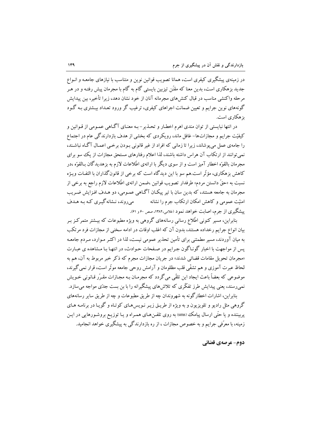در زمینهی پیشگیری کیفری است، همانا تصویب قوانین نوین و متناسب با نیازهای جامعـه و انـواع جدید بزهکاری است، بدین معنا که مقنّن تیزبین بایستی گام به گام با مجرمان پیش رفتـه و در هـر مرحله واكنشى مناسب در قبال كنش هاى مجرمانه آنان از خود نشان دهد، زيرا تأخير، بين يبدايش گونههای نوین جرایم و تعیین ضمانت اجراهای کیفری، ترغیب گر ورود تعـداد بیـشتری بـه گـود یز هکاری است.

در انتها نبایستی از توان مندی اهرم اخطـار و تحـذیر-بـه معنـای آگـاهی عمـومی از قـوانین و کیفیّت جرایم و مجازاتها- غافل ماند، رویکردی که بخشی از هدف بازدارندگی عام در اجتماع را جامهی عمل می پوشاند، زیرا تا زمانی که افراد از غیر قانونی بـودن برخـی اعمـال آگـاه نباشـند، نمی توانند از ارتکاب آن هراس داشته باشند، لذا اعلام رفتارهای مستحق مجازات از یک سو برای مجرمان بالقوّه اخطار آمیز است و از سوی دیگر با ارائهی اطّلاعات لازم به بزهدیدگان بـالقوّه ،در کاهش بزهکاری، مؤثّر است.هم سو با این دیدگاه است که برخی از قانون گذاران با التفـات ویـژه نسبت به «حقّ دانستن مردم» طرفدار تصويب قوانين ،ضمن ارائهي اطِّلاعات لازم راجع به برخي از مجرمان به جامعه هستند، که بدین سان با تیر پیکـان آگـاهی عمـومی، دو هـدف افـزایش ضـریب می روند، نـشانه گیـري کـه بـه هـدف امنیّت عمومی و کاهش امکان ارتکاب جرم را نشانه پیشگیری از جرم، اصابت خواهد نمود (غلامی،۱۳۸۲، صص ۶۰ و ۶۱).

بنابراین، مسیر کنونی اطّلاع رسانبی رسانههای گروهی به ویژه مطبوعات که بیـشتر متمرکـز بـر بیان انواع جرایم رخداده هستند، بدون آن که اغلب اوقات در ادامه سخنی از مجازات فرد مرتکب به میان آوردند، مسیر مطمئنی برای تأمین تحذیر عمومی نیست، لذا در اکثـر مـوارد، مـردم جامعـه يس از مواجهت با اخبار گونـاگون جـرايم در صـفحات حـوادث، در انتهـا بـا مـشاهده ي عبـارت «مجرمان تحویل مقامات قضائی شدند» در جریان مجازات مجرم که ذکر خبر مربوط به آن، هم به لحاظ عبرت آموزي و هم تشفّي قلب مظلومان و آرامش روحي جامعه موثّر است، قرار نمي گيرند، موضوعي كه بعضاً باعث ايجاد اين تلقّي مي گردد كه مجرمـان بـه مجـازات مقـرّر قـانوني خـويش نمی رسند، یعنی پیدایش طرز تفکّری که تلاشهای پیشگیرانه را با بن بست جدّی مواجه میسازد. بنابراین، اشارات اخطارگونه به شهروندان چه از طریق مطبوعات و چه از طریق سایر رسانههای گروهی مثل رادیو و تلویزیون و به ویژه از طریـق زیـر نـویس۵عـای کوتـاه و گویـا در برنامـه هـای

پربیننده و یا حتّی ارسال پیامک (sms) به روی تلفـنهـای همـراه و یـا توزیـع بروشـورهایی در ایـن زمینه، با معرّفی جرایم و به خصوص مجازات ، از ره بازدارندگی به پیشگیری خواهد انجامید.

دوم- عرصهي قضائي.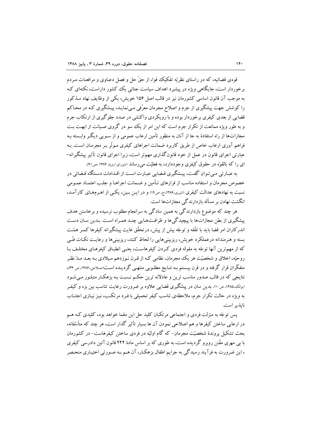قوه ی قضائیه، که در راستای نظریّه تفکیک قوا، از حقّ حل و فصل دعـاوی و مرافعـات مـردم برخوردار است، جایگاهی ویژه در پیشیرد اهداف سیاست جنائی یک کشور داراست، نکتهای کیه به موجب آن قانون اساسی کشورمان نیز در قالب اصل ۱۵۶ خویش، یکی از وظایف نهاد مـذکور را کوشش جهت پیشگیری از جرم و اصلاح مجرمان معرّفی مبی نمایـد، پیـشگیری کـه در محـاکم قضایی از بعدی کیفری برخوردار بوده و با رویکردی واکنشی در صدد جلوگیری از ارتکاب جرم و به طور ویژه ممانعت از تکرار جرم است که این امر از یک سو در گروی صـیانت از ابهـت بـت مجازاتها از راه استفادهٔ به جا از آنان به منظور تأمین ارعاب عمومی و از سـویی دیگـر وابـسته بـه فراهم آوری ارعاب خاص از طریق کاربرد ضمانت اجراهای کیفری مـوثّر بـر مجرمـان اسـت. بـه عبارتی اجرای قانون در عمل از خود قانونگذاری مهمتر است، زیرا اجرای قانون تأثیر پیشگیرانه-ای را که بالقوّه در حقوق کیفری وجوددارد، به فعلیّت می رساند (شورای اروپا، ۱۳۸۴ ،ص۹۱).

به عبارتی مبی توان گفت، پیشگیری قـضایی عبـارت است از اقـدامات دسـتگاه قـضائی در خصوص مجرمان و استفاده مناسب از قرارهای تـأمین و ضـمانت اجراهـا و جلـب اعتمـاد عمـومی نسبت به نهادهای عدالت کیفری (شیری،۱۳۸۶،ج، ص۱۹) و در ایـن بـین، یکـی از اهـرمهـای کارآمـد، انگشت نهادن بر مسأله بازدارندگی مجازاتها است.

هر چند که موضوع بازدارندگی به همین سادگی به سرانجام مطلوب نرسیده و برخاستن هدف پیشگیری از بطن مجازاتها با پیچیدگیها و ظرافتهـایی چنـد همـراه اسـت. بـدین سـان دسـت اندرکاران امر قضا باید با تفَّقه و توجّه بیش از پیش، درتحقّق غایت پیشگیرانه کیفرها کمـر همّـت بسته و هنرمندانه درعملکرد خویش، ریزبینیهایی را لحاظ کنند، ریزبینیها و رعایت نکـات فنّـی که از مهمترین آنها توجّه به مقوله فردی کـردن کیفرهاسـت، یعنـی انطبـاق کیفرهـای مختلـف بـا روحیّه، اخلاق و شخصیّت هر یک مجرمان، نظامی کـه از قـرن نـوزدهم مـیلادی بـه بعـد مـدّ نظـر متفکّران قرار گرفته و در قرن بیستم بـه نتـایج مطلـویی منتهـی گردیـده اسـت(صلاحی،۱۳۸۶، ص ۳۴)، نتایجی که در قالب صدور مناسب ترین و عادلانه ترین حکـم نـسبت بـه بزهکـار متبلـور مـی شـود (بولک،۱۳۸۵، ص۱۰). بدین سان در پیشگیری قضایی علاوه بر ضرورت رعایت تناسب بین بزه و کیفـر به ویژه در حالت تکرار جرم، ملاحظهی تناسب کیفر تحمیلی با فـرد مرتکـب، نیـز نیـازی اجتنـاب نايذير است.

یس توجّه به منزلت فردی و اجتماعی مرتکبان کلید حل این معّما خواهد بود، کلیدی کـه هـم در ارعابی ساختن کیفرها و هم اصلاحی نمودن آن ها بسیار تأثیر گذار است، هر چند که متأسّفانه، بحث تشکیل پروندهٔ شخصیّت مجرمان−که گام اولیّه در فردی ساختن کیفرهاست−در کشورمان با بی مهری مقّنن روبرو گردیده است، به طوری که بر اساس مادهٔ ۲۲۲ قانون آئین دادرسی کیفری ، این ضرورت به فرآیند رسیدگی به جرایم اطفال بزهکـار، آن هـم بـه صـورتی اختیـاری منحـصر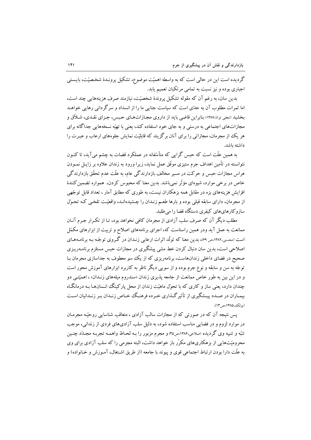گر دبده است این در حالی است که به واسطه اهمیّت موضوع، تشکیل پرونـدهٔ شخـصیّت، بایـستی اجباري بوده و نيز نسبت به تمامي مرتكبان تعميم يابد.

بدین سان، به رغم آن که مقوله تشکیل پروندهٔ شخصیّت، نیازمند صرف هزینههایی چند است، اما ثمرات مطلوب آن به حدّي است كه سياست جنايي ما را از انسداد و سرگر داني رهايي خواهـد بخشید (نجفی توانا،۱۳۸۷) بنابر این قاضبی باید از داروی مجـازاتهـای حـبس، جـزای نقـدی، شـلاّق و مجازاتهای اجتماعی به درستی و به جای خود استفاده کند، یعنی با تهیّه نسخههایی جداگانه برای هر یک از مجرمان، مجازاتی را برای آنان برگزیند که قابلیّت نمایش جلوههای ارعاب و عبـرت را داشته ىاشد.

به همین علّت است که حبس گرایی که متأسّفانه در عملکرد قضات به چشم می آید، تا کنـون نتوانسته در تأمین اهداف جرم ستیزی موفّق عمل نماید، زیرا ورود به زندان علاوه بر زایـل نمـودن هراس مجازات حبس و حرکت در مسیر مخالف بازدارندگی عام، به علّت عدم تحقّق بازدارندگی خاص در برخی موارد، شیوهای مؤثّر نمی باشد. بدین معنا که محبوس کردن، همواره تضمین کنندهٔ افزایش هزینههای بزه در مقابل همه بزهکاران نیست، به طوری که مطابق آمار ، تعداد قابل توجّهی از مجرمان، دارای سابقه قبلی بوده و بارها طعـم زنـدان را چـشیدهانـد، واقعیّـت تلخـی کـه تحـوّل ساز و کار های های کیفر ی دستگاه قضا را می طلبد.

مطلب دیگر آن که صرف سلب آزادی از مجرمان کافی نخواهد بود، تـا از تکـرار جـرم آنـان ممانعت به عمل آید ودر همین راستاست که، اجرای برنامههای اصلاح و تربیت از ابزارهای مکمّل است (محسنی،۱۳۸۲،ص ۶۹)، بدین معنا که تولُّد اثرات ارعابی زنـدان در گـروی توجّـه بـه برنامـههـای اصلاحی است، بدین سان دنبال کردن خط مشی پیشگیری در مجازات حبس مستلزم برنامـهریـزی صحیح در فضای داخلی زندانهاست، برنامهریزی که از یک سو معطوف به جداسازی مجرمان بـا توجّه به سن و سابقه و نوع جرم بوده و از سویی دیگر ناظر به کاربرد ابزارهای آموزش محور است و در این بین به طور خاص ممانعت از جامعه پذیری زندان «سندروم میلههای زنـدان» ، اهمیّتـی دو چندان دارد، یعنی ساز و کاری که با تحوّل ماهیّت زندان از محل پارکینگ انـسان۱هـا بـه درمانگـاه بیمـاران در صـدد پیـشگیری از تأثیرگـذاری خـرده فرهنـگ خحـاص زنـدان بـر زنـدانیان اسـت (بولک،۱۳۸۵،ص۱۳).

یس نتیجه آن که در صورتی که از مجازات سالب آزادی ، متعاقب شناسایی روحیّـه مجرمـان در موارد لزوم و در فضایی مناسب استفاده شود، به دلیل سلب آزادیهای فردی از زندانی، موجب تنبّه و تنبیه وی گردیده (صلاحی،۱۳۸۶،ص۳۵) و مجرم مزبور را بـه لحـاظ واهمـه تجربـه مجـلدّد چنـین محرومیّتهایی از بزهکاریهای مکرّر باز خواهد داشت، البته مجرمی را که سلب آزادی برای وی به علَّت دارا بودن ارتباط اجتماعي قوى و ييوند با جامعه (از طريق اشـتغال، آمـوزش و خـانواده) و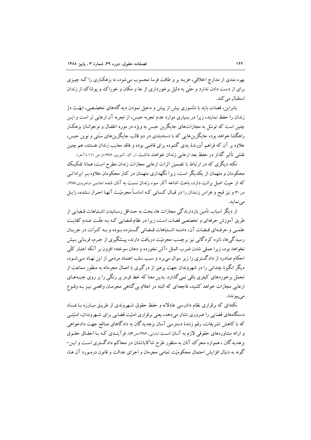بهره مندي از مدارج اخلاقي، هزينه بر و طاقت فرسا محسوب مي شود، نه بزهكـاري را كـه چيـزي برای از دست دادن ندارد و حتّی به دلیل برخورداری از جا و مکان و خوراک وو پوشاک از زندان استقبال می کند.

بنابراین، قضات باید با دلسوزی بیش از پیش و دخیل نمودن دیدگاههای تخصّصی، ابهّـت دژ زندان را حفظ نمایند، زیرا در بسیاری موارد عدم تجربه حبس، از تجربه آن ارعابی تر است و ایـن چنین است که توسّل به مجازاتهای جایگزین حبس به ویژه در مورد اطفـال و نوجوانـان بزهکـار راهگشا خواهد بود، جایگزین هایی که با دستهبندی در دو قالب جایگزین های سنّتی و نوین حسن، علاوه بر آن که فراهم آورندهٔ یدی گشوده برای قاضی بوده و فاقد معایب زندان هستند، هم چنین نقشی تأثیر گذار در حفظ بعد ارعابی زندان خواهند داشت (ر ک آشوری، ۱۳۸۲،از ص ۱۱۱ تا آخر).

نکته دیگری که در ارتباط با تضمین اثرات ارعابی مجازات زندان مطرح است، همانا تفکیک محکومان و متهمان از یکدیگر است، زیرا نگهداری متهمان در کنار محکومان علاوه بـر ایراداتـی که از حیث اصل برائت دارد، باعث اشاعه آثار سوء زندان نسبت به آنان شده (هاشمی شاهرودی،۱۳۸۶، ص۳۰ و نیز قبح و هراس زنـدان را در قبـال کـسانی کـه اساسـاً مجرمیّـت آنهـا احـراز نـشده، زايـل مى نمايد.

از دیگر اسباب تأمین بازدارندگی مجازات ها، بحث به حـداقل رسـانیدن اشـتباهات قـضایی از طریق آموزش حرفهای و تخصّصی قضات است، زیرا در نظام قـضایی کـه بـه علّـت عـدم کفایـت علمبي و حرف1اي قبضات آن، دامنــه اشــتباهات قبضائي گــسترده بــوده و بــه كــرّات در جريــان رسیدگیها، نابزه کردگانی نیز برچسب مجرمیّت دریافت دارند، پیـشگیری از جـرم، قربـانی بـیش نخواهد بود، زيرا عملي شدن ضرب المثل «آش نخورده و دهان سوخته» افزون بر آنكه اعتبار كلَّبي احکام صادره از دادگستری را زیر سوال میبرد و سبب سلب اعتماد مردمی از این نهـاد مـیشـود، دیگر انگیزهٔ چندانی را در شهروندان جهت پرهیز از درگیری با اعمال مجرمانه به منظور ممانعت از تحمّل برخوردهای کیفری باقی نمی گذارد. بدین معنا که خط قرمز پر رنگی را بر روی جنبـههـای ارعابی مجازات خواهد کشید، فاجعهای که البته در اعلام بی گناهی مجرمـان واقعـی نیـز بـه وقـوع مے پیو ندد.

نکتهای که برقراری نظام دادرسی عادلانه و حفظ حقوق شـهروندی از طریـق مبـارزه بـا فـساد دستگاههای قضایی را ضروری نشان میدهد، یعنی برقراری امنیّت قضایی برای شـهروندان، امنیّتـی که با کاهش تشریفات، رقم زنندهٔ دسترسی آسان بزهدیدگان به دادگاهای صالح جهت دادخواهی و ارائه مشاورههای حقوقی لازم به آنـان اسـت (بابـایی، ۱۳۸۶،ص۱۶). فرآینـدی کـه بـا احقـاق حقـوق بزهدیدگان ، همواره محرّک آنان به منظور طرح شاکایاتشان در محاکم دادگستری است و ایـن-گونه به دنبال افزایش احتمال محکومیّت تمامی مجرمان و اجرای عدالت و قانون درمـورد آن هـا،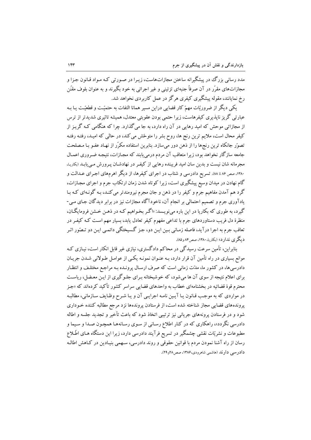مدد رسانی بزرگ در پیشگیرانه ساختن مجازاتهاست، زیـرا در صـورتی کـه مـواد قـانون جـزا و مجازاتهای مقرّر در آن صرفاً جنبهای تزئینی و غیر اجرائی به خود بگیرند و به عنوان بلوف مقنّن رخ نمایانند، مقوله پیشگیری کیفری هرگز در عمل کاربردی نخواهد شد.

یکی دیگر از ضروریّات مهمّ کار قضایی دراین مسیر همانا التفات به حتمیّـت و قطعیّـت یـا بـه عبارتی گریز ناپذیری کیفرهاست، زیرا حتمی بودن عقوبتی معتدل، همیشه تاثیری شدیدتر از ترس از مجازاتی موحش که امید رهایی در آن راه دارد، به جا می گذارد. چرا که هنگامی کـه گریـز از کیفر محال است، ملایم ترین رنج ها، روح بشر را متوحّش می کند، در حالی که امیـد، رفتـه رفتـه تصوّر جانکاه ترین رنجها را از ذهن دور میسازد. بنابرین استفاده مکرّر از نهـاد عفـو بـا مـصلحت جامعه سازگار نخواهد بود، زیرا متعاقب آن مردم درمی یابند که مجـازات، نتیجـه ضـروری اعمـال مجرمانه شان نیست و بدین سان امید فریبنده رهایی از کیفـر در نهادشـان پـرورش مـی یابـد (بکاریـا، ۱۳۸۰، صص ۸۶ تا ۸۸. تسریع دادرسی و شتاب در اجرای کیفرها، از دیگر اهرمهای اجـرای عـدالت و گام نهادن در میدان وسیع پیشگیری است، زیرا کوتاه شدن زمان ارتکاب جرم و اجرای مجـازات، گرد هم آمدن مفاهیم جرم و کیفر را در ذهن و جان مجرم نیرومندتر می کنـد، بـه گونـهای کـه بـا یادآوری جرم و تصمیم احتمالی بر انجام آن، ناخودآگاه مجازات نیز در برابر دیدگان جـای مـی-گیرد، به طوری که بکاریا در این باره میiویـسد: «اگـر بخـواهیم کـه در ذهـن خـشن فرومایگـان، منظرهٔ دل فریب دستاوردهای جرم با تداعی مفهوم کیفر تعادل یابد، بسیار مهم است کـه کیفـر در تعاقب جرم به اجرا درآید، فاصله زمـانی بـین ایـن دو، جـز گـسیختگی دائمـی ایـن دو تـصّور اثـر ديگر ي ندار د» (بکاريا، ۱۳۸۰، صص۸۴ و۸۵).

بنابراین، تأمین سرعت رسیدگی در محاکم دادگستری، نیازی غیر قابل انکار است، نیـازی کـه موانع بسیاری در راه تأمین آن قرار دارد، بـه عنـوان نمونـه یکـی از عوامـل طـولانی شـدن جریـان دادرسیها، در کشور ما، مدّت زمانی است که صرف ارسـال پرونـده بـه مراجـع مختلـف و انتظـار برای اعلام نتیجه از سوی آن ها می شود، که خوشبختانه بـرای جلـوگیری از ایـن معـضل، ریاسـت محترم قوهٔ قضائیه در بخشنامهای خطاب به واحدهای قضایی سراسر کشور تأکید کردهاند که «جـز در مواردی که به موجب قـانون یـا آیـین نامـه اجرایـی آن و یـا شـرح وظـایف سـازمانی، مطالبـه پروندههای قضایی مجاز شناخته شده است، از فرستادن پروندهها نزد مرجع مطالبه کننده خـوداری شود و در فرستادن پرونههای جریانی نیز ترتیبی اتخاذ شود که باعث تأخیر و تجدید جلسه و اطاله دادرسی نگردد»، راهکاری که در کنار اطلاع رسانی از سوی رسانهها همچـون صـدا و سـیما و مطبوعات و نشریّات نقشی چشمگیر در تسریع فرآیند دادرسی دارد، زیرا این دستگاه هـای اطّـلاع رسان از راه آشنا نمودن مردم با قوانین حقوقی و روند دادرسی، سـهمی بنیـادین در کـاهش اطالـه دادرسی دارند (هاشمی شاهرودی،۱۳۸۶، صص۲۸و ۲۹).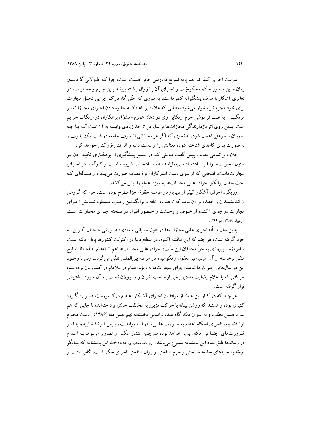سرعت اجرای کیفر نیز هم پایه تسریع دادرسی حایز اهمیّت است، چرا کـه طـولانی گردیــدن زمان مابین صدور حکم محکومیّت و اجـرای آن بـا زوال رشـته پیونـد بـین جـرم و مجـازات، در تغایری آشکار با هدف پیشگیرانه کیفرهاست، به طوری که حتّی گاه درک چراپی تحمّل مجازات برای خود مجرم نیز دشوار میشود، مطلبی که علاوه بر ناعادلانـه جلـوه دادن اجـرای مجـازات بـر مرتکب – به علت فراموشی جرم ارتکابی وی دراذهان عموم- مشوّق بزهکاران در ارتکاب جرایم است. بدین روی اثر بازدارندگی مجازاتها بر سایرین تا حدّ زیادی وابسته به آن است کـه بـا چـه اطمینان و سرعتی اعمال شود، به نحوی که اگر هر مجازاتی از طرف جامعه در قالب یک بلـوف و به صورت ببری کاغذی شناخته شود، معنایش را از دست داده و اثراتش فروکش خواهد کرد.

علاوه بر تمامی مطالب پیش گفته، عـاملی کـه در مـسیر پیـشگیری از بزهکـاری تکیـه زدن بـر ستون مجازاتها را قابل اعتمـاد مـي نمايانـد، همانـا انتخـاب شـيوهٔ مناسـب و كارآمـد در اجـراي مجازاتهاست، انتخابی که از سوی دست اندرکاران قوهٔ قضاییه صورت می پذیرد و مسألهای ک بحث جدال برانگيز اجراي علني مجازاتها به ويژه اعدام را پيش مي كشد.

رویکرد اجرای آشکار کیفر از دیرباز در عرصه حقوق جزا مطرح بوده است، چرا که گروهی از اندیشمندان را عقیده بر آن بوده که ترهیب، اخافه و برانگیختن رعـب، مـستلزم نمـایش اجـرای مجازات در جوی آکنـده از خـوف و وحـشت و حـضور افـراد درصـحنه اجـرای مجـازات اسـت (ار دیبلی،۱۳۸۶، ص ۳۹۹).

بدین سان مسأله اجرای علنی مجازاتها در طول سالیانی متمادی، صـورتی جنجـال آفـرین بـه خود گرفته است، هر چند که این مناقشه اکنون در سطح دنیا در اکثریّت کشورها پایان یافته است و امروزه با پیروزی به حقٌّ مخالفان این سنّت، اجرای علنی مجازاتها اعم از اعدام به لحـاظ نتـایج منفی برخاسته از آن امری غیر معقول و نکوهیده در عرصه بینالمللی تلقّی می گردد، ولی با وجـود این در سال های اخیر بارها شاهد اجرای مجازاتها به ویژه اعدام در ملأعام در کشورمان بودهایـم، حرکتی که با اعلام رضایت مندی برخی ازصاحب نظران و مسوولان نسبت بـه آن مـورد پـشتیبانی قرار گرفته است.

هر چند که در کنار این عـلهٔ از موافقـان اجـرای آشـکار اعـدام درکـشورمان، همـواره گـروه کثیری بوده و هستند که روشن بینانه با حرکت مزبور به مخالفت جدّی پرداختهاند، تا جایبی که هم سو با همین مطلب و به عنوان یک گام بلند، براساس بخشنامه نهم بهمن ماه (۱۳۸۶) ریاست محترم قوهٔ قضاییه، «اجرای احکام اعدام به صورت علنبی، تنهـا بـا موافقـت ریـیس قـوهٔ قـضاییه و بنـا بـر ضرورتهای اجتماعی امکان پذیر خواهد بود، هم چنین انتشار عکس و تصاویر مربـوط بـه اعــدام در رسانهها طبق مفاد این بخشنامه ممنوع میباشد» (روزنامه همشهری، ۱۱/۲۵/۵۶)، این بخشنامه که بیـانگر توجّه به جنبههای جامعه شناختی و جرم شناختی و روان شناختی اجرای حکم است، گامی مثبت و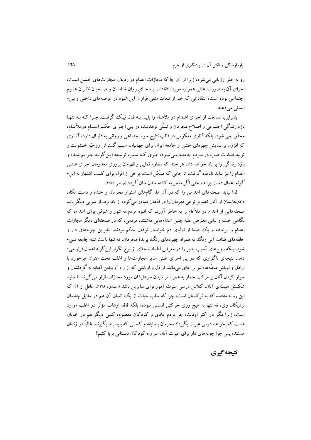رو به جلو ارزیابی می شود، زیرا از آن جا که مجازات اعدام در ردیف مجازاتهای خشن است، اجرای آن به صورت علنی همواره مورد انتقادات بـه جـای روان شناسـان و صـاحبان نظـران علـوم اجتماعی بوده است، انتقاداتی که خبر از تبعات منفی فراوان این شیوه در عرصههای داخلی و بین-المللي مي دهند.

بنابراین، ممانعت از اجرای اعـدام در ملأعـام را بایـد بـه فـال نیـک گرفـت، چـرا کـه نـه تنهـا بازدارندگی اجتماعی و اصلاح مجرمان و تسلّی بزهدیـده در پـی اجـرای حکـم اعـدام درملأعـام، محقّق نمی شود، بلکه آثاری معکوس در قالب نتایج سوء اجتماعی و روانی به دنبـال دارد، آثــاری که افزون بر نمایش چهرهای خشن از جامعه ایران برای جهانیان، سبب گسترش روحیّه خـشونت و تولید قساوت قلب در مردم جامعـه مـیشـود، امـری کـه سـبب توسـعه ایـن گونـه جـرایم شـده و بازدارندگی را بر باد خواهد داد، هر چند که مظلوم نمایی و قهرمان پروری معدومان اجرای علنبی اعدام را نیز نباید نادیده گرفت، تا جایی که ممکن است، برخی از افراد برای کسب اشتهار به این-گونه اعمال دست بزنند، حتّى اگر منجر به كشته شدن شان گر دد (بهرامى،۱۳۸۶).

لذا نباید صحنههای اعدامی را که در آن ها، گامهای استوار مجرمان و خنده و دست تکان دادنهایشان از آنان تصویر نوعی قهرمان را در اذهان متبادر می کرد، از یاد برد، از سویی دیگر باید صحنههایی از اعدام در ملأعام را به خاطر آورد، که انبوه مردم نه شور و شوقی برای اعدام، که نگاهی خسته و لبانی معترض علیه چنین اعدامهایی داشتند، مردمی، که در صحنهای دیگر مجازات اعدام را برنتافته و یک صدا از اولیای دم خواستار توقّف حکم بودند، بنابراین چوبههای دار و حلقههای طناب آبی رنگ به همراه چهرههای رنگ پریدهٔ مجرمان، نه تنها باعث تنبّه جامعه نمی-شود، بلکه روحهای آسیب پذیر را در معرض لطمات جدّی از نوع تکرار این گونه اعمال قرار می-دهد، نتیجهی ناگواری که در یی اجرای علنی سایر مجازاتها و اغلب تحت عنوان «برخورد با اراذل و اوباش محلَّهها» نیز بر جای میماند، اراذل و اوباشی که از راه آویختن آفتابه به گردنشان و سوار کردن آنان بر مرکب حمار به همراه تراشیدن سرهایشان مورد مجازات قرار می گیرند تا شاید شکستن هیمنهی آنان، کلاس درسی عبرت آموز برای سایرین باشد «حمدی، ۱۳۸۶»، غافل از آن که این ره نه مقصد که به ترکستان است، چرا که سلب حیات از یک انسان آن هم در مقابل چشمان نزدیکان وی، نه تنها به هیچ روی حرکتی انسانی نبوده، بلکه فاقد ارعاب مؤثّر در اغلب موارد است، زیرا مگر در اکثر اوقات، جز مردم عادی و کودکان معصوم، کسی دیگر هم در خیابان هست که بخواهد درس عبرت بگیرد؟ مجرمان باسابقه و کسانی که باید پند بگیرند، غالباً در زندان هستند، پس چرا چوبههای دار برای عبرت آنان سر راه کودکان دبستانی برپا کنیم؟

## نتىجە گىرى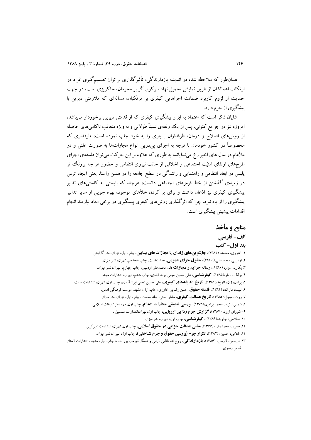همانطور که ملاحظه شد، در اندیشه بازدارندگی، تأثیرگذاری بر توان تصمیمگیری افراد در ارتکاب اعمالشان از طریق نمایش تحمیل نهاد سرکوبگر بر مجرمان، خاکریزی است، در جهت حمایت از لزوم کاربرد ضمانت اجراهایی کیفری بر مرتکبان، مسألهای که ملازمتی دیرین با پیشگیری از جرم دارد.

شایان ذکر است که اعتماد به ابزار پیشگیری کیفری که از قدمتی دیرین برخوردار می باشد، امروزه نیز در جوامع کنونی، پس از یک وقفهی نسبتاً طولانی و به ویژه متعاقب ناکامیهای حاصله از روشهای اصلاح و درمان، طرفداران بسیاری را به خود جلب نموده است، طرفداری که مخصوصاً در کشور خودمان با توجّه به اجرای پیدرپی انواع مجازاتها به صورت علنی و در ملأعام در سال های اخیر رخ می نمایاند، به طوری که علاوه بر این حرکت می توان فلسفهی اجرای طرحهای ارتقای امنیّت اجتماعی و اخلاقی از جانب نیروی انتظامی و حضور هر چه پررنگ تر پلیس در ابعاد انتظامی و راهنمایی و رانندگی در سطح جامعه را در همین راستا، یعنی ایجاد ترس در زمینهی گذشتن از خط قرمزهای اجتماعی دانست، هرچند که بایستی به کاستی های تدبیر پیشگیری کیفری نیز اذعان داشت و برای پر کردن خلأهای موجود، بهره جویی از سایر تدابیر پیشگیری را از یاد نبرد، چرا که اثر گذاری روش های کیفری پیشگیری در برخی ابعاد نیازمند انجام اقدامات پیشینی پیشگیری است.

## منابع و مأخذ الف- فارسي **بند اول- کتب**

۱. آشوری، محمد، (۱۳۸۲)، **جایگزینهای زندان یا مجازاتهای بینابین**، چاپ اول، تهران، نشر گرایش. ۲. اردبیلی، محمدعلی،( ۱۳۸۶)، **حقوق جزای عمومی**، جلد نخست، چاب هجدهم، تهران، نشر میزان. ۳. بکاریا، سزار، (۱۳۸۰)، **رساله جرایم و مجازات ها**، محمدعلی اردبیلی، چاپ چهارم، تهران، نشر میزان. ۴. بولک، برنار،۱۳۸۵)، **کیفوشناسی**، علی حسین نجفی ابرند آبادی، چاپ ششم، تهران، انتشارات مجد. ۵. پرادل، ژان، تاریخ،(۱۳۸۱)، **تاریخ اندیشههای کیفری**، علی حسین نجفی ابرندآبادی، چاپ اول، تهران، انتشارات سمت. ۶. تبیت، مارک، (۱۳۸۴)، **فلسفه حقوق**، حسن رضایی خاوری، چاپ اول، مشهد، موسسه فرهنگی قدس. ۷. روت، میچل،(۱۳۸۵)، **تاریخ عدالت کیفوی**، ساناز الستی، جلد نخست، چاپ اول، تهران، نشر میزان. ۸ شمس ناتري، محمدابراهيم،(١٣٧٨)، **بورىسى تطبيقى مجازات اعدام**، چاپ اول، قم، دفتر تبليغات اسلامي. ۹- شورای اروپا، (۱۳۸۴)، گ**زارش جرم زدایی اروپایی**، چاپ اول،تهران،انتشارات سلسبیل . ۱۰. صلاحی، جاوید،(۱۳۸۶) ، کیفوشناسی، چاپ اول، تهران، نشر میزان. ۱۱. ظفري، محمدرضا، (۱۳۷۷)، ه**باني عدالت جزايي در حقوق اسلامي**، چاپ اول، تهران، انتشارات امير كبير. ۱۲. غلامی، حسین، (۱۳۸۲)، **تکرار جرم (بررسی حقوق و جرم شناختی)**، چاپ اول، تهران، نشر میزان. ۱۳. فریدمن، لارنس، (۱۳۸۶)، **بازدارندگی**، روح الله طالبی آرانی و عسگر قهرمان پور بناب، چاپ اول، مشهد، انتشارات آستان قدس رضوي.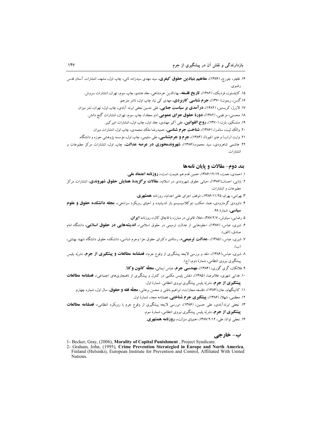- ۱۴. فلچر، جورج، (۱۳۸۴)، **مفاهیم بنیادین حقوق کیفوی**، سید مهدی سیدزاده ثانی، چاپ اول، مشهد، انتشارات آستان قدس رضوي.
	- ۱۵. کاپلستون، فردیک، (۱۳۸۲)، **تاریخ فلسفه**، بهاءالدین خرمشاه<sub>ی</sub>، جلد هشتم، چاپ سوم، تهران، انتشارات سروش.
		- ۱۶.گسن، ریمون،(۱۳۷۰)، **جوم شناسی کاربودی،** مهدی کی نیا، چاپ اول، ناشر مترجم.
	- ۱۷. لازرژ، کریستین، (۱۴۸۲)، **در آهدی بر سیاست جنای**بی، علی حسین نجفی ابرند آبادی، چاپ اول، تهران، نشر میزان.
		- ۱۸. محسنی، مرتضی، (۱۳۸۲)، **دورهٔ حقوق جزای عمومی** (دو مجلد)، چاپ سوم، تهران، انتشارات گنج دانش.
			- ۱۹. منتسکیو، بارن، (۱۳۷۰)، **روح القوانین**، علی اکبر مهتدی، جلد اول، چاپ اول، انتشارات امیرکبیر.
		- ۲۰. والک لیت، ساندرا، (۱۳۸۶)، **شناخت جرم شناسی**، حمیدرضا ملک محمدی، چاپ اول، انتشارات میزان.
	- ۲۱. وایت (راب) و هنیز (فیونا)، (۱۳۸۳)، **جوم و جومشناسی**، علی سلیمی، چاپ اول، مؤسسه پژوهشی حوزه و دانشگاه.
- ۲۲. هاشمی شاهرودی، سید محمود،(۱۳۸۶)، **شهروندهحوری در عرصه عدالت**، چاپ اول، انتشارات مرکز مطبوعات و انتشارات.

#### بند دوم- مقالات و پایان نامهها

- ۱. احمدي، نعمت، ۱۳۸۶/۱۲/۱۹، «همين قدم هم غنيمت است»، **روزنامه اعتماد ملي**.
- ۲. بابایی، احسان،(۱۳۸۶)، «مبانی حقوق شهروندی در اسلام»، **مقالات بر گزیدهٔ همایش حقوق شهروندی**، انتشارات مرکز مطبوعات و انتشارات.
	- ۳. بهرامی، بهرام، ۱۳۸۶/۱۱/۲۵ «توقف اجرای علنی اعدام»، روزنامه همشهری.
- ۴. داوودی گرمارودی، هما، «مکتب نئوکلاسیسیسم باز اندیشیده و احیای رویکرد سزادهی»، **مجله دانشکده حقوق و علوم** سیاسے ، شمارۂ ۶۸.
	- ۵. رضایی، سیاوش، ۳۸۷/۲/۷، «خلاء قانونی در مبارزه با قاچاق کال»، روزنامه **ایوان**.
- ۶. شیری، عباس، (۱۳۸۷)، «جلوههایی از عدالت ترمیمی در حقوق اسلامی»، **اندیشههایی در حقوق اسلامی**، دانشگاه امام صادق، (الف).
- ۷. شیری، عباس، (۱۳۸۵)، «**عدالت تومیمی»**، رسالهی دکترای حقوق جزا وجرم شناسی، دانشکده حقوق دانشگاه شهید بهشتی،  $(\cup)$
- ۸ شیری، عباس،(۱۳۸۶)، انقد و بررسی لایحه پیشگیری از وقوع جرم» **فصلنامه مطالعات و پیشگیوی از جوم**، نشریّه پلیس پیشگیری نیروی انتظامی، شمارهٔ دوم، (ج).
	- ۹. فلانکان، گری گوری، (۱۳۸۴)، **مهندسی جوم**، عباس ایمانی، **مجلّه کانون وکلا**.
- ۱۰. فدایی شهری، غلامرضا، (۱۳۸۵)، انقش پلیس مکتبی در کنترل و پیشگیری از ناهنجاریهای اجتماعی»، **فصلنامه مطالعات پیشگیری از جوم**، نشریّه پلیس پیشگیری نیروی انتظامی. شمارهٔ اول.
	- ۱۱. کاتینگهام، جان،(۱۳۸۴)، «فلسفه مجازات»، ابراهیم باطنی و محسن برهانی، **مجلّه فقه و حقوق**، سال اول، شماره جهارم.
		- ۱۲. معظمی، شهلا، (۱۳۸۶)، **پیشگیری جرم شناختی**، فصلنامه مجد، شمارهٔ اول.
- ۱۳. نجفی ابرندآبادی، علی حسین، (۱۳۸۶)، «بررسی لایحه پیشگیری از وقوع جرم با رویکرد انتظامی»، ف**صلنامه مطالعات پیشگیوی از جوم**، نشریّه پلیس پیشگیری نیروی انتظامی، شمارهٔ سوم.
	- ۱۴. نجفي توانا، علي، ۱۳۸۷/۲/۱۲، «همياي منزلت»، **روزنامه همشهري.**

ب- خارجي

- 1- Becker, Gray, (2006), Morality of Capital Punishment, Project Syndicate.
- 2- Graham, John, (1995), Crime Prevention Sterategied in Europe and North America, Finland (Helsinki), European Institute for Prevention and Control, Affiliated With United **Nations**